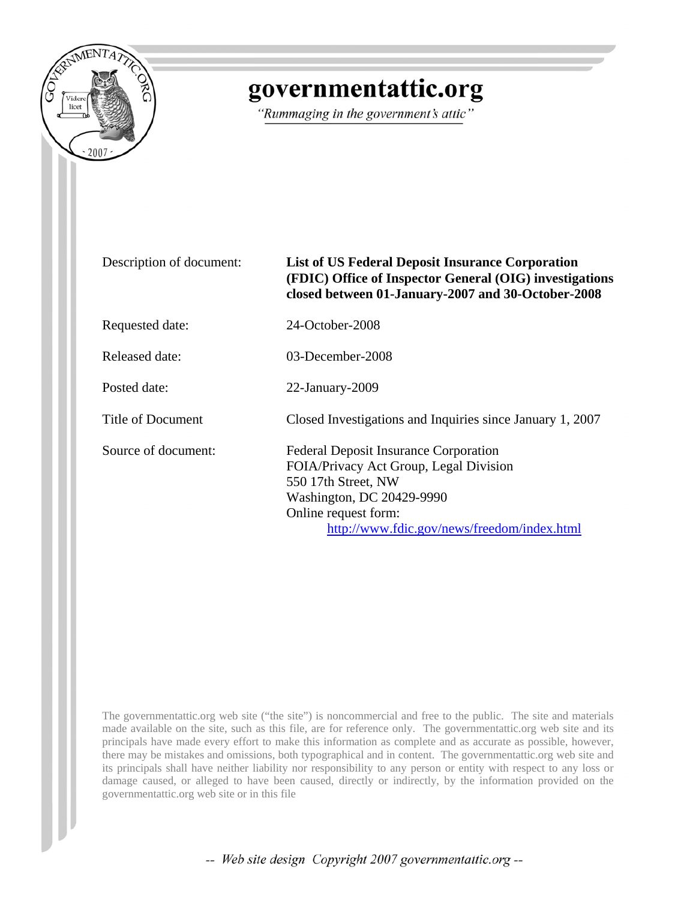

# governmentattic.org

"Rummaging in the government's attic"

## Description of document: **List of US Federal Deposit Insurance Corporation (FDIC) Office of Inspector General (OIG) investigations closed between 01-January-2007 and 30-October-2008**

Requested date: 24-October-2008

Released date: 03-December-2008

Posted date: 22-January-2009

Title of Document Closed Investigations and Inquiries since January 1, 2007

Source of document: Federal Deposit Insurance Corporation FOIA/Privacy Act Group, Legal Division 550 17th Street, NW Washington, DC 20429-9990 Online request form: [http://www.fdic.gov/news/freedom/index.html](http://www.fdic.gov/about/freedom/index.html)

The governmentattic.org web site ("the site") is noncommercial and free to the public. The site and materials made available on the site, such as this file, are for reference only. The governmentattic.org web site and its principals have made every effort to make this information as complete and as accurate as possible, however, there may be mistakes and omissions, both typographical and in content. The governmentattic.org web site and its principals shall have neither liability nor responsibility to any person or entity with respect to any loss or damage caused, or alleged to have been caused, directly or indirectly, by the information provided on the governmentattic.org web site or in this file

-- Web site design Copyright 2007 governmentattic.org --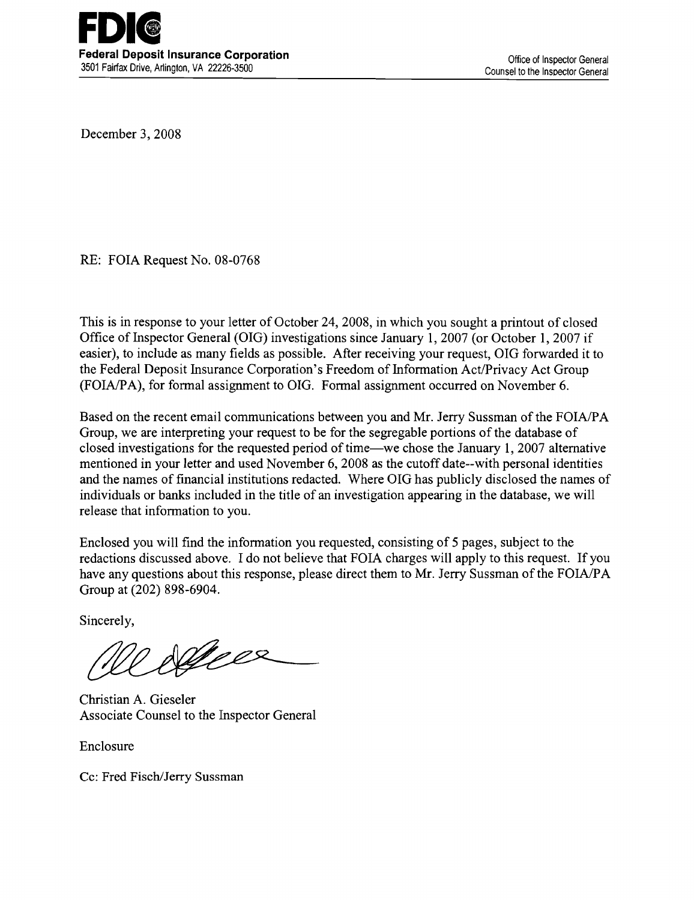December 3, 2008

RE: FOIA Request No. 08-0768

This is in response to your letter of October 24, 2008, in which you sought a printout of closed Office of Inspector General (OIG) investigations since January 1, 2007 (or October 1, 2007 if easier), to include as many fields as possible. After receiving your request, OIG forwarded it to the Federal Deposit Insurance Corporation's Freedom of Information Act/Privacy Act Group (FOIA/PA), for formal assignment to OIG. Formal assignment occurred on November 6.

Based on the recent email communications between you and Mr. Jerry Sussman of the FOIA/PA Group, we are interpreting your request to be for the segregable portions of the database of closed investigations for the requested period of time—we chose the January 1, 2007 alternative mentioned in your letter and used November 6, 2008 as the cutoff date--with personal identities and the names of financial institutions redacted. Where OIG has publicly disclosed the names of individuals or banks included in the title of an investigation appearing in the database, we will release that information to you.

Enclosed you will find the information you requested, consisting of 5 pages, subject to the redactions discussed above. I do not believe that FOIA charges will apply to this request. If you have any questions about this response, please direct them to Mr. Jerry Sussman of the FOIA/PA Group at (202) 898-6904.

Sincerely,

Nelsee

Christian A. Gieseler Associate Counsel to the Inspector General

Enclosure

Cc: Fred Fisch/Jerry Sussman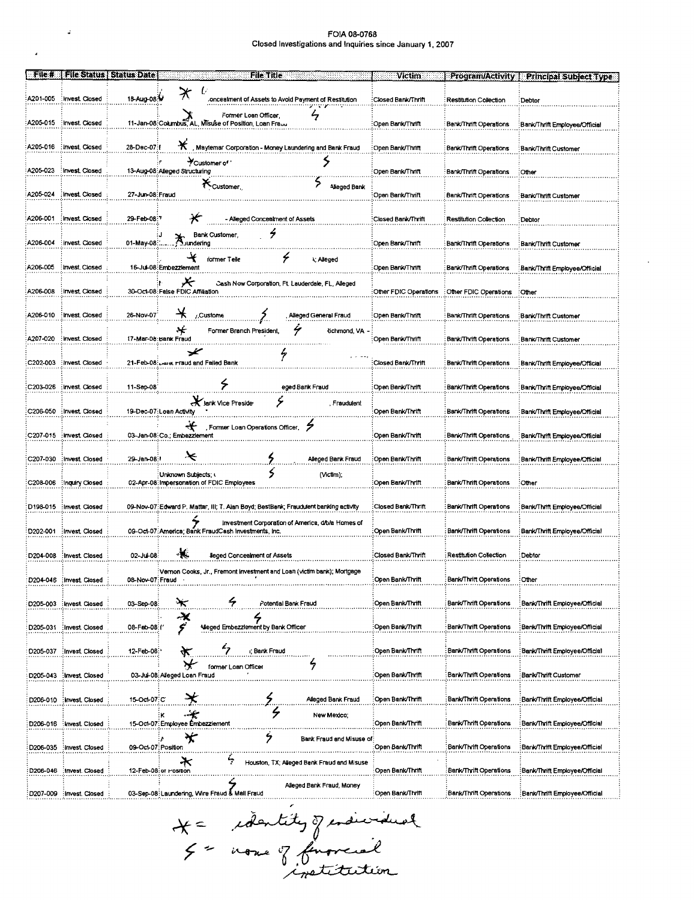$\mathcal{L}$ 

 $\overline{a}$ 

| File #               | <b>File Status</b>        | <b>Status Date</b>  | File Title                                                                                                | Victim.               | <b>Program/Activity</b>       | <b>Principal Subject Type</b>  |
|----------------------|---------------------------|---------------------|-----------------------------------------------------------------------------------------------------------|-----------------------|-------------------------------|--------------------------------|
| A201-005             | Invest Closed             | 18-Aug-08:V         | $\boldsymbol{\varkappa}$<br>U<br>oncealment of Assets to Avoid Payment of Restitution.                    | ∶Closed Bank/Thrift   | <b>Restitution Collection</b> | Debtor                         |
| A205-015             | : Invest. Closed          |                     | $\frac{2}{7}$<br>Former Loan Officer,<br>11-Jan-08: Columbus, AL, Misuse of Position, Loan Fraud          | Open Bank/Thrift      | Bank/Thrift Operations        | Bank/Thrift Employee/Official  |
| A205-016             | Invest Closed             | 28-Dec-07:f         | *<br>Maytemar Corporation - Money Laundering and Bank Fraud                                               | Open Bank/Thrift      | <b>Bank/Thrift Operations</b> | Bank/Thrift Customer:          |
| A205-023             | Invest Closed             |                     | Customer of<br>><br>13-Aug-08 Alleged Structuring                                                         | Open Bank/Thrift      | Bank/Thrift Operations        | Other                          |
| A205-024             | Invest Closed             | 27-Jun-08: Fraud    | <b><i>Customer</i></b><br>Alleged Bank                                                                    | Open Bank/Thrift      | <b>Bank/Thrift Operations</b> | Bank/Thrift Customer           |
| A206-001             | Invest Closed             | 29-Feb-08:7         | - Alleged Concealment of Assets                                                                           | Closed Bank/Thrift    | Restitution Collection        | Debtor                         |
| A206-004             | Invest Closed             | 01-May-08:          | ş<br>Bank Customer,<br><b>X</b> undering                                                                  | Open Bank/Thrift      | Bank/Thrift Operations        | Bank/Thrift Customer           |
| A206-005             | Invest Closed             |                     | ۶<br>former Telle<br><b>\; Alleged</b><br>16-Jul-08:Embezzlement                                          | Open Bank/Thrift      | Bank/Thrift Operations        | Bank/Thrift Employee/Official  |
| A206-008             | Invest Closed             |                     | ≻<br>Cash Now Corporation, Ft. Lauderdale, FL, Alleged<br>30-Oct-08: False FDIC Affiliation               | Other FDIC Operations | Other FDIC Operations         | ∶Other                         |
| A206-010             | : Invest. Closed          | 26-Nov-07           | Alleged General Fraud<br>/.Custome                                                                        | Open Bank/Thrift      | <b>Bank/Thrift Operations</b> | Bank/Thrift Customer           |
| A207-020             | : Invest. Closed          |                     | ∗<br>4<br><b>Richmond, VA</b><br>Former Branch President,<br>17-Mar-06:Bank Fraud                         | Open Bank/Thrift      | Bank/Thrift Operations        | Bank/Thrift Customer           |
| C202-003             | Invest Closed             |                     | ✕<br>ヶ<br>21-Feb-08: Dark Fraud and Failed Bank                                                           | Closed Bank/Thrift    | <b>Bank/Thrift Operations</b> | Bank/Thrift Employee/Official  |
| C203-026             | : Invest. Closed          | 11-Sep-08           | ۶<br>eged Bank Fraud                                                                                      | Open Bank/Thrift      | Bank/Thrift Operations        | Bank/Thrift Employee/Official  |
| C206-050             | Invest Closed             |                     | ۶<br>Jank Vice Preside<br>, Fraudulent<br>19-Dec-07: Loan Activity                                        | Open Bank/Thrift      | Bank/Thrift Operations        | Bank/Thrift Employee/Official  |
| C207-015             | Invest Closed             |                     | ↞<br>Former Loan Operations Officer<br>03-Jan-08:Co.; Embezzlement                                        | Open Bank/Thrift      | Bank/Thrift Operations        | Bank/Thrift Employee/Official  |
| C207-030             | Invest, Closed            | 29-Jan-08:1         | ×<br>Alleged Bank Fraud                                                                                   | Open Bank/Thrift      | <b>Bank/Thrift Operations</b> | Bank/Thrift Employee/Official  |
| C208-006             | Inquiry Closed            |                     | S<br>(Victim);<br>Unknown Subjects;<br>02-Apr-08 Impersonation of FDIC Employees                          | Open Bank/Thrift      | Bank/Thrift Operations        | :Other                         |
|                      | D198-015 : Invest. Closed |                     | 09-Nov-07: Edward P. Mattar, III; T. Alan Boyd; BestBank; Fraudulent banking activity                     | Closed Bank/Thrift    | Bank/Thrift Operations        | Bank/Thrift Employee/Official  |
| D202-001             | Invest Closed             |                     | Investment Corporation of America, d/b/a Homes of<br>09-Oct-07: America; Bank FraudCash Investments. Inc. | Open Bank/Thrift      | <b>Bank/Thrift Operations</b> | Bank/Thrift Employee/Official  |
| D204-008             | Invest Closed             | 02-Jul-08           | ÷.<br><b>Jeged Concealment of Assets</b>                                                                  | Closed Bank/Thrift    | <b>Restitution Collection</b> | Debtor                         |
| D204-046             | Invest, Closed            | 08-Nov-07; Fraud    | Vernon Cooks, Jr., Fremont Investment and Loan (victim bank); Mortgage                                    | Open Bank/Thrift.     | <b>Bank/Thrift Operations</b> | :Other                         |
| D205-003             | Invest. Closed            | 03-Sep-08:          | Ģ<br><br>Potential Bank Fraud                                                                             | Open Bank/Thrift      | Bank/Thrift Operations        | Bank/Thrift Employee/Official  |
| D205-031             | Invest Closed             | 08-Feb-08:(         | ー<br>デ<br>Mieged Embezzlement by Bank Officer                                                             | Open Bank/Thrift      | <b>Bank/Thrift Operations</b> | Bank/Thrift Employee/Official  |
| D205-037             | : Invest. Closed          | 12-Feb-08:          | i; Bank Fraud                                                                                             | Open Bank/Thrift      | Bank/Thrift Operations        | Bank/Thrift Employee/Official  |
| D205-043             | Invest Closed             |                     | 7<br>former Loan Officer<br>03-Jul-08: Alleged Loan Fraud                                                 | Open Bank/Thrift      | Bank/Thrift Operations        | Bank/Thrift Customer           |
| D206-010             | : Invest. Closed          | 15-Oct-07:C         | Alleged Bank Fraud                                                                                        | Open Bank/Thrift      | <b>Bank/Thrift Operations</b> | Bank/Thrift Employee/Official  |
| D206-016             | Invest. Closed            |                     | -÷€<br>New Mexico;<br>κ<br>15-Oct-07: Employee Embezziement                                               | Open Bank/Thrift      | Bank/Thrift Operations        | Bank/Thrift Employee/Official  |
| D <sub>206-035</sub> | Invest. Closed            | 09-Oct-07: Position | 7<br>π<br>Bank Fraud and Misuse of:                                                                       | Open Bank/Thrift      | <b>Bank/Thrift Operations</b> | Bank/Thrift Employee/Official  |
| D206-046             | Invest. Closed            |                     | ÷<br>Houston, TX; Alleged Bank Fraud and Misuse<br>12-Feb-08:or Position                                  | Open Bank/Thrift      | <b>Bank/Thrift Operations</b> | Bank/Thrift Employee/Official  |
| D207-009             | Invest Closed             |                     | Alleged Bank Fraud, Money<br>03-Sep-08:Laundering, Wire Fraud & Mail Fraud                                | Open Bank/Thrift      | Bank/Thrift Operations        | :Bank/Thrift Employee/Official |
|                      |                           |                     |                                                                                                           |                       |                               |                                |

X = identity of endividual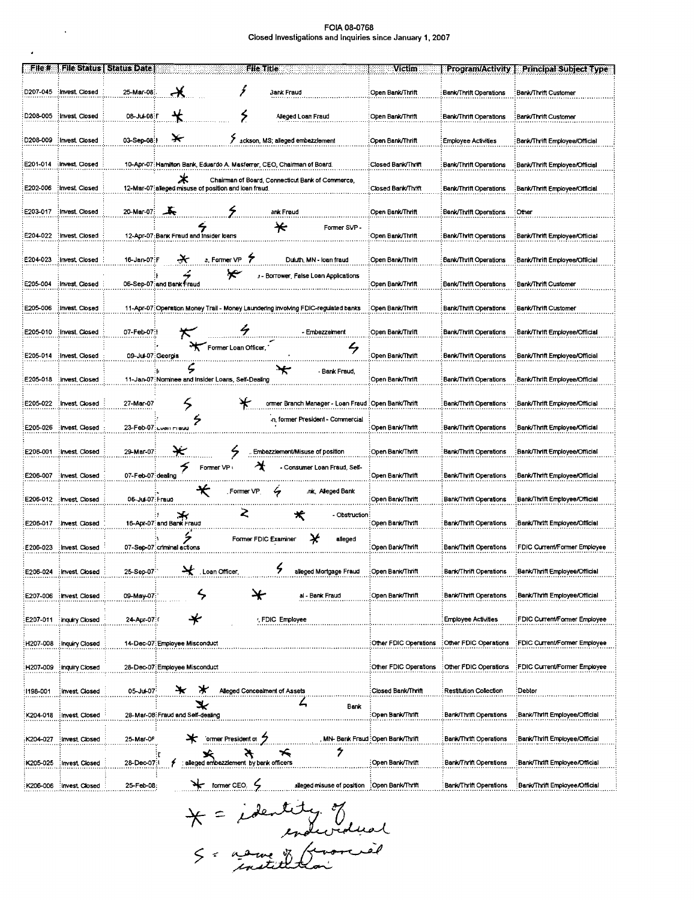$\mathcal{L}^{\text{max}}_{\text{max}}$  , where  $\mathcal{L}^{\text{max}}_{\text{max}}$ 

 $\mathcal{L}^{(1)}$ 

| ∷File #  |                  | <b>File Status   Status Date</b> | File Title                                                                                                     | Victim                            | <b>Program/Activity</b>       | <b>Principal Subject Type</b>  |
|----------|------------------|----------------------------------|----------------------------------------------------------------------------------------------------------------|-----------------------------------|-------------------------------|--------------------------------|
| D207-045 | : Invest. Closed | 25-Mar-08                        | ź<br>3ank Fraud                                                                                                | Open Bank/Thrift                  | <b>Bank/Thrift Operations</b> | Bank/Thrift Customer           |
| D208-005 | Invest Closed    | 08-Jul-08: F                     | ۶<br>Alleged Loan Fraud                                                                                        | Open Bank/Thrift                  | Bank/Thrift Operations        | Bank/Thrift Customer           |
| D208-009 | : Invest. Closed | 03-Sep-08 1                      | ackson, MS; alleged embezzlement                                                                               | Open Bank/Thrift                  | Employee Activities           | Bank/Thrift Employee/Official  |
| E201-014 | Invest. Closed   |                                  | 10-Apr-07: Hamilton Bank, Eduardo A. Masferrer, CEO, Chairman of Board.                                        | Closed Bank/Thrift                | <b>Bank/Thrift Operations</b> | :Bank/Thrift Employee/Official |
| E202-006 | : Invest. Closed |                                  | ж<br>Chairman of Board, Connecticut Bank of Commerce,<br>12-Mar-07: alleged misuse of position and loan fraud. | Closed Bank/Thrift                | Bank/Thrift Operations        | Bank/Thrift Employee/Official  |
| E203-017 | : Invest. Closed | 20-Mar-07:                       | ۶<br>玉<br>ank Fraud                                                                                            | Open Bank/Thrift                  | Bank/Thrift Operations        | Other                          |
| E204-022 | : Invest. Closed |                                  | ₭<br>Former SVP -<br>12-Apr-07: Bank Fraud and Insider loans                                                   | Open Bank/Thrift                  | Bank/Thrift Operations        | Bank/Thrift Employee/Official  |
| E204-023 | Invest Closed    | 16 Jan-07:F                      | 7<br>a. Former VP<br>Duluth, MN - Ioan fraud                                                                   | Open Bank/Thrift                  | <b>Bank/Thrift Operations</b> | Bank/Thrift Employee/Official  |
| E205-004 | : Invest. Closed |                                  | '*<br>: - Borrower, False Loan Applications<br>06-Sep-07: and Bank Fraud                                       | Open Bank/Thrift                  | Bank/Thrift Operations        | Bank/Thrift Customer           |
| E205-006 | Invest Closed    |                                  | 11-Apr-07: Operation Money Trail - Money Laundering involving FDIC-regulated banks                             | Open Bank/Thrift                  | <b>Bank/Thrift Operations</b> | Bank/Thrift Customer           |
| E205-010 | Invest, Closed   | 07-Feb-07:                       | 4<br>- Embezzelment                                                                                            | Open Bank/Thrift                  | Bank/Thrift Operations        | Bank/Thrift Employee/Official  |
| E205-014 | : Invest, Closed | 09-Jul-07: Georgia               | Former Loan Officer,<br>L,                                                                                     | Open Bank/Thrift                  | Bank/Thrift Operations        | Bank/Thrift Employee/Official  |
| E205-018 | : invest, Closed |                                  | ς<br>- Bank Fraud,<br>11-Jan-07: Nominee and Insider Loans, Self-Dealing                                       | ⊙pen Bank/Thrift                  | Bank/Thrift Operations        | Bank/Thrift Employee/Official  |
| E205-022 | Invest Closed    | 27-Mar-07                        | ormer Branch Manager - Loan Fraud : Open Bank/Thrift                                                           |                                   | Bank/Thrift Operations        | Bank/Thrift Employee/Official  |
| E205-026 | : Invest. Closed |                                  | n, former President - Commercial<br>23-Feb-07: Luan mauu                                                       | Open Bank/Thrift                  | <b>Bank/Thrift Operations</b> | Bank/Thrift Employee/Official  |
| E206-001 | : Invest. Closed | 29-Mar-07:                       | S<br>₩<br>Embezzlement/Misuse of position                                                                      | Open Bank/Thrift                  | Bank/Thrift Operations        | Bank/Thrift Employee/Official  |
| E206-007 | : Invest. Closed | 07-Feb-07: dealing               | $\mathbf{\hat{x}}$<br>Former VP<br>Consumer Loan Fraud, Self-                                                  | Open Bank/Thrift                  | Bank/Thrift Operations        | Bank/Thrift Employee/Official  |
| E206-012 | Invest Closed    | 06-Jul-07:Fraud                  | Former VP<br>∽<br>nk, Alleged Bank،                                                                            | ⊙pen Bank/Thrift                  | <b>Bank/Thrift Operations</b> | Bank/Thrift Employee/Official  |
| E206-017 | : Invest. Closed |                                  | Z<br>$\star$<br>- Obstruction:<br>16-Apr-07 and Bank Fraud                                                     | ∶Open Bank/Thrift                 | <b>Bank/Thrift Operations</b> | Bank/Thrift Employee/Official  |
| E206-023 | Invest. Closed   |                                  | X<br>Former FDIC Examiner<br>alleged<br>07-Sep-07: criminal actions                                            | Open Bank/Thrift                  | Bank/Thrift Operations        | FDIC Current/Former Employee   |
| E206-024 | Invest. Closed   | 25-Sep-07                        | $\cdot$<br>7<br>alleged Mortgage Fraud<br>Loan Officer,                                                        | :Open Bank/Thrift                 | Bank/Thrift Operations        | Bank/Thrift Employee/Official  |
| E207-006 | Invest Closed    | 09-May-07.                       | ¥<br>al - Bank Fraud                                                                                           | Open Bank/Thnft                   | <b>Bank/Thrift Operations</b> | Bank/Thrift Employee/Official  |
| E207-011 | Inquiry Closed   | 24-Apr-07:0                      | , FDIC Employee                                                                                                |                                   | <b>Employee Activities</b>    | FDIC Current/Former Employee   |
| H207-008 | Inquiry Closed   |                                  | 14-Dec-07: Employee Misconduct                                                                                 | Other FDIC Operations             | :Other FDIC Operations        | FDIC Current/Former Employee   |
| H207-009 | : Inquiry Closed |                                  | 28-Dec-07: Employee Misconduct                                                                                 | Other FDIC Operations             | Other FDIC Operations         | FDIC Current/Former Employee   |
| 1198-001 | Invest Closed    | 05-Jul-07                        | ₩<br>∗<br>Alleged Concealment of Assets                                                                        | :Closed Bank/Thrift               | Restitution Collection        | Debtor                         |
| K204-018 | : Invest. Closed |                                  | ⋇<br>Bank<br>28-Mar-08: Fraud and Self-dealing                                                                 | ∶Open Bank/Thrift                 | <b>Bank/Thrift Operations</b> | Bank/Thrift Employee/Official  |
| K204-027 | Invest Closed    | 25-Mar-0F                        | ormer President of                                                                                             | MN- Bank Fraud : Open Bank/Thrift | <b>Bank/Thrift Operations</b> | Bank/Thrift Employee/Official  |
| K205-025 | Invest Closed    | 28-Dec-071                       | 7<br>℅<br>★<br>a<br>÷r<br>alleged entoezziement by bank officers                                               | : Open Bank/Thrift                | <b>Bank/Thrift Operations</b> | Bank/Thrift Employee/Official  |
| K206-006 | Invest Closed    | 25-Feb-08:                       | ς<br>former CEO.<br>₩<br>alleged misuse of position                                                            | :Open Bank/Thrift                 | <b>Bank/Thrift Operations</b> | Bank/Thrift Employee/Official  |

\* = identity. of<br>enduration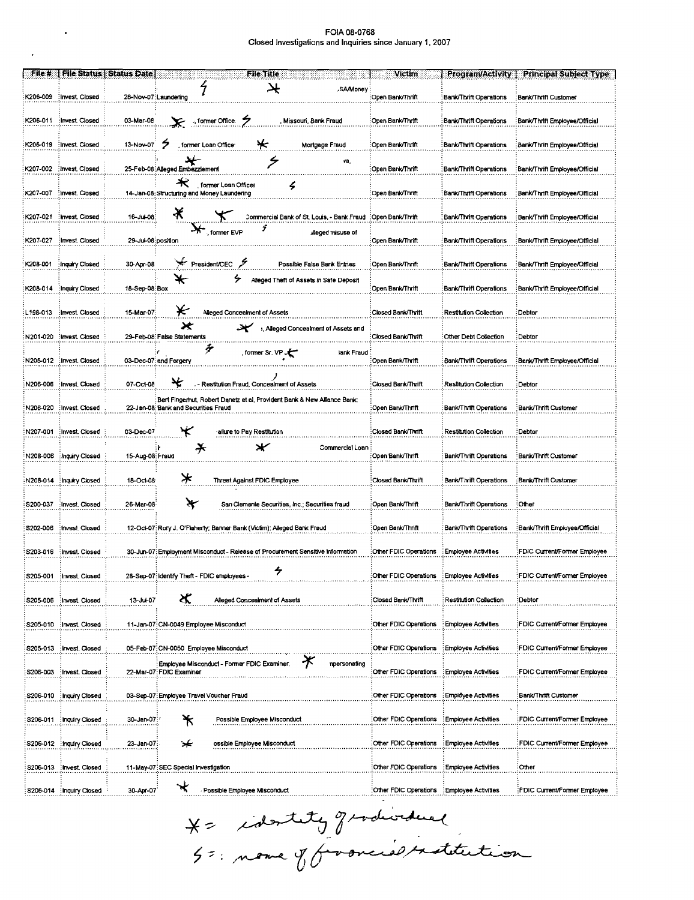$\sim 10^{11}$  km  $^{-1}$ 

 $\Delta \phi$ 

| File #    |                           | <b>File Status   Status Date</b> | File Title                                                                      | Victim                                      | Program/Activity              | <b>Principal Subject Type</b>  |
|-----------|---------------------------|----------------------------------|---------------------------------------------------------------------------------|---------------------------------------------|-------------------------------|--------------------------------|
|           |                           |                                  |                                                                                 |                                             |                               |                                |
|           |                           |                                  | ⊁<br><b>SA/Money</b>                                                            |                                             |                               |                                |
| K206-009  | Invest Closed             |                                  | 28-Nov-07: Laundering                                                           | Open Bank/Thrift                            | <b>Bank/Thrift Operations</b> | Bank/Thrift Customer           |
|           |                           |                                  |                                                                                 |                                             |                               |                                |
|           | K206-011 Invest Closed    | 03-Mar-08                        | , former Office.<br>Missouri, Bank Fraud                                        | Open Bank/Thrift                            | Bank/Thrift Operations        | :Bank/Thrift Employee/Official |
|           |                           |                                  |                                                                                 |                                             |                               |                                |
|           |                           |                                  |                                                                                 |                                             |                               |                                |
|           | K206-019 : Invest. Closed | 13-Nov-07                        | 2<br>'*<br>former Loan Office<br>Mortgage Fraud                                 | Open Bank/Thrift                            | Bank/Thrift Operations        | Bank/Thrift Employee/Official  |
|           |                           |                                  |                                                                                 |                                             |                               |                                |
|           | K207-002 : Invest Closed  |                                  | ٧ä,<br>25-Feb-08: Alleged Embezzlement                                          | Open Bank/Thrift                            | <b>Bank/Thrift Operations</b> |                                |
|           |                           |                                  |                                                                                 |                                             |                               | Bank/Thrift Employee/Official: |
|           |                           |                                  | $\star$<br>former Loan Officer                                                  |                                             |                               |                                |
| K207-007  | Invest. Closed            |                                  | 14-Jan-08: Structuring and Money Laundering                                     | Open Bank/Thrift                            | <b>Bank/Thrift Operations</b> | Bank/Thrift Employee/Official  |
|           |                           |                                  |                                                                                 |                                             |                               |                                |
| K207-021  | Invest Closed             | 16-Jul-08:                       | Ӿ<br>Commercial Bank of St. Louis, - Bank Fraud                                 | :Open Bank/Thrift                           | Bank/Thrift Operations        | Bank/Thrift Employee/Official  |
|           |                           |                                  | ÿ                                                                               |                                             |                               |                                |
|           |                           |                                  | $\mathbf{X}$ , former EVP<br>alleged misuse of                                  |                                             |                               |                                |
| K207-027  | Invest. Closed            | 29-Jul-08:position               |                                                                                 | Open Bank/Thrift                            | <b>Bank/Thrift Operations</b> | Bank/Thrift Employee/Official  |
|           |                           |                                  |                                                                                 |                                             |                               |                                |
| K208-001  | Inquiry Closed            | 30-Apr-08                        | President/CEC &<br>Possible False Bank Entries                                  | Open Bank/Thrift                            | Bank/Thrift Operations        | ;Bank/Thrift Employee/Official |
|           |                           |                                  |                                                                                 |                                             |                               |                                |
|           |                           |                                  | ↞<br>Alleged Theft of Assets in Safe Deposit                                    |                                             |                               |                                |
|           | K208-014 : Inquiry Closed | 18-Sep-08:Box                    |                                                                                 | Open Bank/Thrift                            | Bank/Thrift Operations        | Bank/Thrift Employee/Official: |
|           |                           |                                  |                                                                                 |                                             |                               |                                |
| L198-013  | : Invest. Closed          | 15-Mar-07:                       | ₭<br>Alleged Concealment of Assets                                              | Closed Bank/Thrift                          | Restitution Collection        | :Debtor                        |
|           |                           |                                  |                                                                                 |                                             |                               |                                |
|           |                           |                                  | ×<br>₩<br>s, Alleged Concealment of Assets and                                  |                                             |                               |                                |
| N201-020  | Invest Closed             |                                  | 29-Feb-08: False Statements                                                     | Closed Bank/Thrift                          | Other Debt Collection         | :Debtor                        |
|           |                           |                                  | Ť                                                                               |                                             |                               |                                |
| N205-012  | Invest Closed             |                                  | former Sr. VP<br>lank Fraud<br>03-Dec-07: and Forgery                           | Open Bank/Thrift                            | Bank/Thrift Operations        | Bank/Thrift Employee/Official  |
|           |                           |                                  |                                                                                 |                                             |                               |                                |
|           |                           |                                  |                                                                                 |                                             |                               |                                |
| N206-006  | Invest. Closed            | 07-Oct-08                        | ₩<br>Restitution Fraud, Concealment of Assets                                   | Closed Bank/Thrift                          | Restitution Collection        | :Debtor                        |
|           |                           |                                  | Bert Fingerhut, Robert Danetz et al, Provident Bank & New Allance Bank:         |                                             |                               |                                |
| N206-020  | Invest Closed             |                                  | 22-Jan-08 Bank and Securities Fraud                                             | :Open Bank/Thrift                           | Bank/Thrift Operations        | Bank/Thrift Customer           |
|           |                           |                                  |                                                                                 |                                             |                               |                                |
|           |                           |                                  |                                                                                 |                                             |                               |                                |
|           | N207-001 : Invest. Closed | 03-Dec-07                        | ₩<br>ailure to Pay Restitution                                                  | Closed Bank/Thrift                          | <b>Restitution Collection</b> | :Debtor                        |
|           |                           |                                  | ⊁<br>Ӿ<br>Commercial Loan :                                                     |                                             |                               |                                |
| N208-006  | Inquiry Closed            | 15-Aug-08: Fraud                 |                                                                                 | :Open Bank/Thrift                           | <b>Bank/Thrift Operations</b> | Bank/Thrift Customer           |
|           |                           |                                  |                                                                                 |                                             |                               |                                |
|           |                           |                                  |                                                                                 |                                             |                               |                                |
|           | N208-014 : Inquiry Closed | 18-Oct 08                        | ⊁<br><b>Threat Against FDIC Employee</b>                                        | Closed Bank/Thrift                          | Bank/Thrift Operations        | Bank/Thrift Customer           |
|           |                           |                                  |                                                                                 |                                             |                               |                                |
| S200-037  | : Invest. Closed          | 26-Mar-08                        | ₩<br>San Clemente Securities, Inc.; Securities fraud                            | Open Bank/Thrift                            | <b>Bank/Thrift Operations</b> | :Other                         |
|           |                           |                                  |                                                                                 |                                             |                               |                                |
|           |                           |                                  |                                                                                 |                                             |                               |                                |
| S202-006  | Invest. Closed            |                                  | 12-Oct-07: Rory J. O'Flaherty; Banner Bank (Victim); Alleged Bank Fraud         | Open Bank/Thnft                             | Bank/Thrift Operations        | Bank/Thrift Employee/Official  |
|           |                           |                                  |                                                                                 |                                             |                               |                                |
|           | S203-016 : Invest. Closed |                                  | 30-Jun-07: Employment Misconduct - Release of Procurement Sensitive Information | Other FDIC Operations                       | : Employee Activities         | FDIC Current/Former Employee   |
|           |                           |                                  |                                                                                 |                                             |                               |                                |
|           |                           |                                  |                                                                                 |                                             |                               |                                |
| S205-001  | : Invest. Closed          |                                  | 28-Sep-07 Identify Theft - FDIC employees -                                     | Other FDIC Operations : Employee Activities |                               | FDIC Current/Former Employee   |
|           |                           |                                  |                                                                                 |                                             |                               |                                |
|           | S205-006 : Invest. Closed | 13-Jul-07                        | х<br>Alleged Concealment of Assets                                              | Closed Bank/Thrift                          | Restitution Collection        | Debtor                         |
|           |                           |                                  |                                                                                 |                                             |                               |                                |
|           |                           |                                  |                                                                                 |                                             |                               |                                |
|           | S205-010 : Invast. Closed |                                  | 11-Jan-07:CN-0049 Employee Misconduct                                           | Other FDIC Operations                       | : Employee Activities         | FDIC Current/Former Employee   |
|           |                           |                                  |                                                                                 |                                             |                               |                                |
|           | S205-013 : Invest. Closed |                                  | 05-Feb-07:CN-0050 Employee Misconduct                                           | Other FDIC Operations                       | Employee Activities           | FDIC Current/Former Employee   |
|           |                           |                                  |                                                                                 |                                             |                               |                                |
|           |                           |                                  | $\bigstar$<br>Employee Misconduct - Former FDIC Examiner<br>npersonating        |                                             |                               |                                |
| S206-003  | : Invest. Closed          |                                  | 22-Mar-07: FDIC Examiner                                                        | Other FDIC Operations                       | Employee Activities           | FDIC Current/Former Employee   |
|           |                           |                                  |                                                                                 |                                             |                               |                                |
| S206-010  | Inquiry Closed            |                                  | 03-Sep-07: Employee Travel Voucher Fraud                                        | Other FDIC Operations                       | : Employee Activities         | Bank/Thrift Customer           |
|           |                           |                                  |                                                                                 |                                             |                               |                                |
|           |                           |                                  |                                                                                 |                                             |                               |                                |
| \$206-011 | Inquiry Closed            | 30-Jan-07 /                      | *<br>Possible Employee Misconduct                                               | Other FDIC Operations                       | : Employee Activities         | FDIC Current/Former Employee   |
|           |                           |                                  |                                                                                 |                                             |                               |                                |
| S206-012  | <b>Inquiry Closed</b>     | 23-Jan-07:                       | ⊁<br>ossible Employee Misconduct                                                | Other FDIC Operations                       | : Employee Activities         | FDIC Current/Former Employee   |
|           |                           |                                  |                                                                                 |                                             |                               |                                |
|           |                           |                                  |                                                                                 |                                             |                               |                                |
| S206-013  | Invest. Closed            |                                  | 11-May-07 SEC Special investigation                                             | Other FDIC Operations                       | : Employee Activities         | Other                          |
|           |                           |                                  |                                                                                 |                                             |                               |                                |
|           | S206-014 : Inquiry Closed | 30-Apr-07                        | *<br>Possible Employee Misconduct                                               | Other FDIC Operations Employee Activities   |                               | FDIC Current/Former Employee   |

X= identity gradioidual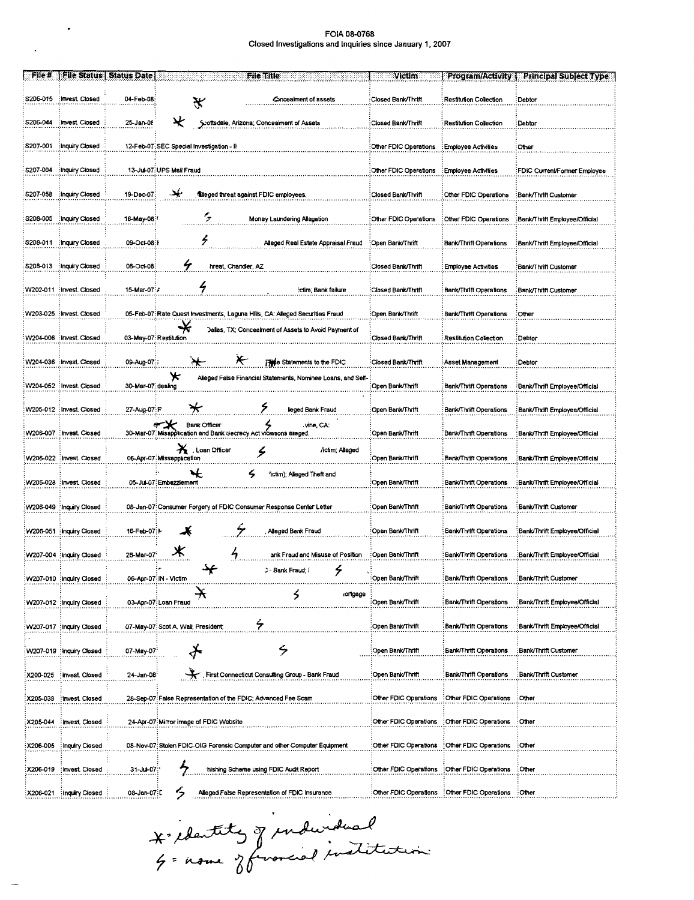$\mathcal{L}(\mathcal{L})$  ,  $\mathcal{L}(\mathcal{L})$ 

 $\mathbf{v}^{\dagger}$ 

 $\overline{\phantom{a}}$ 

| File #    |                           | File Status   Status Date | File Title                                                                                             | Victim                | <b>Program/Activity {</b>                             | Principal Subject Type         |
|-----------|---------------------------|---------------------------|--------------------------------------------------------------------------------------------------------|-----------------------|-------------------------------------------------------|--------------------------------|
| S206-015  | Invest Closed             | 04-Feb-08:                | Concealment of assets<br>₩                                                                             | Closed Bank/Thrift    | Restitution Collection                                | Debtor                         |
| S205-044  | : Invest. Closed          | 25-Jan-08                 | ¥<br>Scottsdale, Arizona; Concealment of Assets                                                        | Closed Bank/Thrift    | Restitution Collection                                | Debtor                         |
| S207-001  | Inquiry Closed            |                           | 12-Feb-07: SEC Special Investigation - II                                                              | Other FDIC Operations | : Employee Activities                                 | Other                          |
| S207-004  | Inquiry Closed            |                           | 13-Jul-07: UPS Mail Fraud                                                                              | Other FDIC Operations | Employee Activities                                   | FDIC Current/Former Employee   |
| S207-058  | Inquiry Closed            | 19-Dec-07:                | يهي<br>filteged threat against FDIC employees.                                                         | Closed Bank/Thrift    | Other FDIC Operations                                 | :Bank/Thrift Customer          |
| S208-005  | mquiry Closed:            | 16-May-08:1               | $\zeta$<br>Money Laundering Allegation                                                                 | Other FDIC Operations | : Other FDIC Operations                               | Bank/Thrift Employee/Official  |
| S208-011  | Inquiry Closed            | 09-Oct-08:1               | z<br>Alleged Real Estate Appraisal Fraud                                                               | :Open Bank/Thrift     | Bank/Thrift Operations                                | Bank/Thrift Employee/Official  |
|           | S208-013 : Inquiry Closed | 08-Oct-08                 | 4<br>hreat, Chandler, AZ                                                                               | Closed Bank/Thrift    | <b>Employee Activities</b>                            | Bank/Thrift Customer           |
|           | W202-011 : invest. Closed | 15-Mar-07: A              | 4<br>:ctim; Bank failure                                                                               | :Closed Bank/Thrift   | Bank/Thrift Operations                                | Bank/Thrift Customer           |
|           | W203-025 : Invest. Closed |                           | 05-Feb-07: Rate Quest Investments, Laguna Hills, CA: Alleged Securities Fraud                          | Open Bank/Thrift      | Bank/Thrift Operations                                | Other                          |
|           | W204-006 : Invest. Closed |                           | ₩<br>Dallas, TX; Concealment of Assets to Avoid Payment of<br>03-May-07: Restitution                   | Closed Bank/Thrift    | <b>Restitution Collection</b>                         | Debtor                         |
|           | W204-036 : Invest. Closed | 09-Aug-07:                | Æ<br><b>Also Statements to the FDIC</b>                                                                | Closed Bank/Thrift    | Asset Management                                      | Debtor                         |
|           | W204-052 : Invest. Closed | 30-Mar-07: dealing        | Ж<br>Alleged False Financial Statements, Nominee Loans, and Self                                       | Open Bank/Thrift      | Bank/Thrift Operations                                | Bank/Thrift Employee/Official  |
|           | W205-012 : Invest. Closed | 27-Aug 07: R              | ۶<br>₩<br>lleged Bank Fraud                                                                            | Open Bank/Thrift      | Bank/Thrift Operations                                | Bank/Thrift Employee/Official  |
|           | W206-007 : Invest. Closed |                           | <b>Bank Officer</b><br>vine, CA:<br>30-Mar-07: Misapplication and Bank Secrecy Act violations alleged. | Open Bank/Thrift      | Bank/Thrift Operations                                | Bank/Thrift Employee/Official  |
| W206-022  | Invest. Closed            |                           | Ă<br>, Loan Officer<br>/ictim; Alleged<br>۶<br>06-Apr-07 Missappacation                                | Open Bank/Thrift      | Bank/Thrift Operations                                | Bank/Thrift Employee/Official  |
| W206-028  | Invest Closed             |                           | ₩<br>ς<br>fictim); Alleged Theft and<br>05-Jul-07:Embezzlement                                         | Open Bank/Thrift      | <b>Bank/Thrift Operations</b>                         | :Bank/Thrift Employee/Official |
|           | W206-049 : Inquiry Closed |                           | 08-Jan-07: Consumer Forgery of FDIC Consumer Response Center Letter                                    | Open Bank/Thrift      | Bank/Thrift Operations                                | Bank/Thrift Customer           |
|           | W206-051 : inquiry Closed | 16-Feb-07:M               | Alleged Bank Fraud                                                                                     | Open Bank/Thrift      | Bank/Thrift Operations                                | Bank/Thrift Employee/Official  |
|           | W207-004 inquiry Closed   | 28 Mar-07                 | ж<br>ank Fraud and Misuse of Position                                                                  | Open Bank/Thrift      | Bank/Thrift Operations                                | Bank/Thrift Employee/Official  |
|           | W207-010 inquiry Closed   |                           | <br>۶<br>ン- Bank Fraud; I<br>06-Apr-07 IN - Victim                                                     | Open Bank/Thrift      | Bank/Thrm Operations                                  | :Bank/Thrift Customer          |
|           | W207-012 : Inquiry Closed |                           | y<br>ortgage<br>5<br>03-Apr-07: Loan Fraud                                                             | Open Bank/Thrift      | Bank/Thrift Operations                                | Bank/Thrift Employee/Official  |
|           | W207-017 Inquiry Closed:  |                           | ۶<br>07-May-07: Scot A. Wall, President,                                                               | Open Bank/Thrift      | Bank/Thrift Operations                                | :Bank/Thrift Employee/Official |
|           | W207-019 Inquiry Closed   | 07-May-07                 | $\zeta$                                                                                                | Open Bank/Thrift      | Bank/Thrift Operations                                | :Bank/Thrift Customer          |
| X200-025  | : Invest. Closed          | 24-Jan-08                 | First Connecticut Consulting Group - Bank Fraud                                                        | Open Bank/Thrift      | <b>Bank/Thrift Operations</b>                         | :Bank/Thrift Customer          |
| X205-038  | Invest. Closed            |                           | 28-Sep-07 False Representation of the FDIC; Advanced Fee Scam                                          | Other FDIC Operations | : Other FDIC Operations                               | :Other                         |
| X205-044  | <b>Invest</b> Closed      |                           | 24-Apr-07 Mirror image of FDIC Website                                                                 | Other FDIC Operations | Other FDIC Operations                                 | :Other                         |
| X206-005  | Inquiry Closed            |                           | 08-Nov-07: Stolen FDIC-OIG Forensic Computer and other Computer Equipment                              | Other FDIC Operations | :Other FDIC Operations :Other                         |                                |
| X206-019  | Invest Closed             | 31 Jul 07:                | 7<br>hishing Scheme using FDIC Audit Report                                                            | Other FDIC Operations | :Other FDIC Operations                                | :Other                         |
| X206 021: | Inquiry Closed            | 08-Jan-07:L               | ς,<br>Alleged False Representation of FDIC Insurance                                                   |                       | Other FDIC Operations : Other FDIC Operations : Other |                                |

\* contits of inducidual